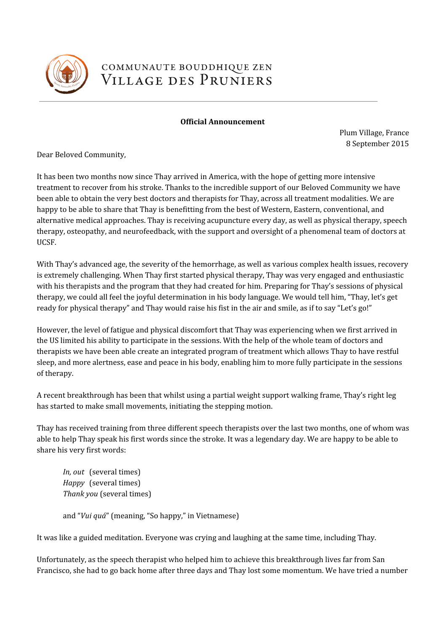

## COMMUNAUTE BOUDDHIQUE ZEN VILLAGE DES PRUNIERS

## Official Announcement

Plum Village, France 8 September 2015

Dear Beloved Community,

It has been two months now since Thay arrived in America, with the hope of getting more intensive treatment to recover from his stroke. Thanks to the incredible support of our Beloved Community we have been able to obtain the very best doctors and therapists for Thay, across all treatment modalities. We are happy to be able to share that Thay is benefitting from the best of Western, Eastern, conventional, and alternative medical approaches. Thay is receiving acupuncture every day, as well as physical therapy, speech therapy, osteopathy, and neurofeedback, with the support and oversight of a phenomenal team of doctors at UCSF.

With Thay's advanced age, the severity of the hemorrhage, as well as various complex health issues, recovery is extremely challenging. When Thay first started physical therapy, Thay was very engaged and enthusiastic with his therapists and the program that they had created for him. Preparing for Thay's sessions of physical therapy, we could all feel the joyful determination in his body language. We would tell him, "Thay, let's get ready for physical therapy" and Thay would raise his fist in the air and smile, as if to say "Let's go!"

However, the level of fatigue and physical discomfort that Thay was experiencing when we first arrived in the US limited his ability to participate in the sessions. With the help of the whole team of doctors and therapists we have been able create an integrated program of treatment which allows Thay to have restful sleep, and more alertness, ease and peace in his body, enabling him to more fully participate in the sessions of therapy.

A recent breakthrough has been that whilst using a partial weight support walking frame, Thay's right leg has started to make small movements, initiating the stepping motion.

Thay has received training from three different speech therapists over the last two months, one of whom was able to help Thay speak his first words since the stroke. It was a legendary day. We are happy to be able to share his very first words:

In, out (several times) Happy (several times) Thank you (several times)

and "Vui quá" (meaning, "So happy," in Vietnamese)

It was like a guided meditation. Everyone was crying and laughing at the same time, including Thay.

Unfortunately, as the speech therapist who helped him to achieve this breakthrough lives far from San Francisco, she had to go back home after three days and Thay lost some momentum. We have tried a number